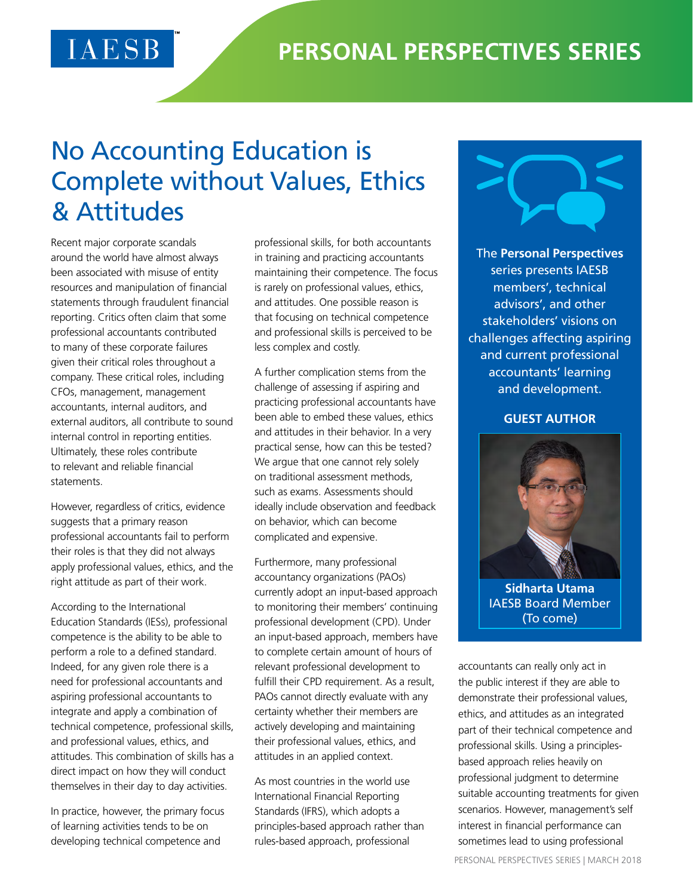## No Accounting Education is Complete without Values, Ethics & Attitudes

Recent major corporate scandals around the world have almost always been associated with misuse of entity resources and manipulation of financial statements through fraudulent financial reporting. Critics often claim that some professional accountants contributed to many of these corporate failures given their critical roles throughout a company. These critical roles, including CFOs, management, management accountants, internal auditors, and external auditors, all contribute to sound internal control in reporting entities. Ultimately, these roles contribute to relevant and reliable financial statements.

However, regardless of critics, evidence suggests that a primary reason professional accountants fail to perform their roles is that they did not always apply professional values, ethics, and the right attitude as part of their work.

According to the International Education Standards (IESs), professional competence is the ability to be able to perform a role to a defined standard. Indeed, for any given role there is a need for professional accountants and aspiring professional accountants to integrate and apply a combination of technical competence, professional skills, and professional values, ethics, and attitudes. This combination of skills has a direct impact on how they will conduct themselves in their day to day activities.

In practice, however, the primary focus of learning activities tends to be on developing technical competence and

professional skills, for both accountants in training and practicing accountants maintaining their competence. The focus is rarely on professional values, ethics, and attitudes. One possible reason is that focusing on technical competence and professional skills is perceived to be less complex and costly.

A further complication stems from the challenge of assessing if aspiring and practicing professional accountants have been able to embed these values, ethics and attitudes in their behavior. In a very practical sense, how can this be tested? We argue that one cannot rely solely on traditional assessment methods, such as exams. Assessments should ideally include observation and feedback on behavior, which can become complicated and expensive.

Furthermore, many professional accountancy organizations (PAOs) currently adopt an input-based approach to monitoring their members' continuing professional development (CPD). Under an input-based approach, members have to complete certain amount of hours of relevant professional development to fulfill their CPD requirement. As a result, PAOs cannot directly evaluate with any certainty whether their members are actively developing and maintaining their professional values, ethics, and attitudes in an applied context.

As most countries in the world use International Financial Reporting Standards (IFRS), which adopts a principles-based approach rather than rules-based approach, professional



The **Personal Perspectives** series presents IAESB members', technical advisors', and other stakeholders' visions on challenges affecting aspiring and current professional accountants' learning and development.

## **GUEST AUTHOR**



IAESB Board Member (To come)

accountants can really only act in the public interest if they are able to demonstrate their professional values, ethics, and attitudes as an integrated part of their technical competence and professional skills. Using a principlesbased approach relies heavily on professional judgment to determine suitable accounting treatments for given scenarios. However, management's self interest in financial performance can sometimes lead to using professional